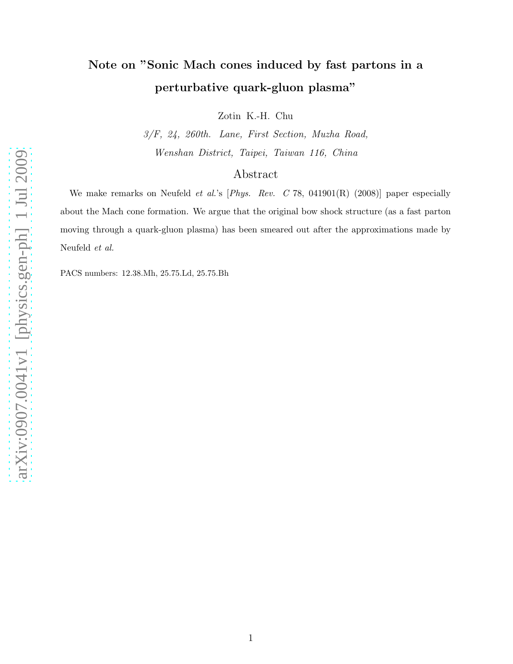## Note on "Sonic Mach cones induced by fast partons in a perturbative quark-gluon plasma"

Zotin K.-H. Chu

3/F, 24, 260th. Lane, First Section, Muzha Road, Wenshan District, Taipei, Taiwan 116, China

## Abstract

We make remarks on Neufeld et al.'s [Phys. Rev. C 78, 041901(R) (2008)] paper especially about the Mach cone formation. We argue that the original bow shock structure (as a fast parton moving through a quark-gluon plasma) has been smeared out after the approximations made by Neufeld et al.

PACS numbers: 12.38.Mh, 25.75.Ld, 25.75.Bh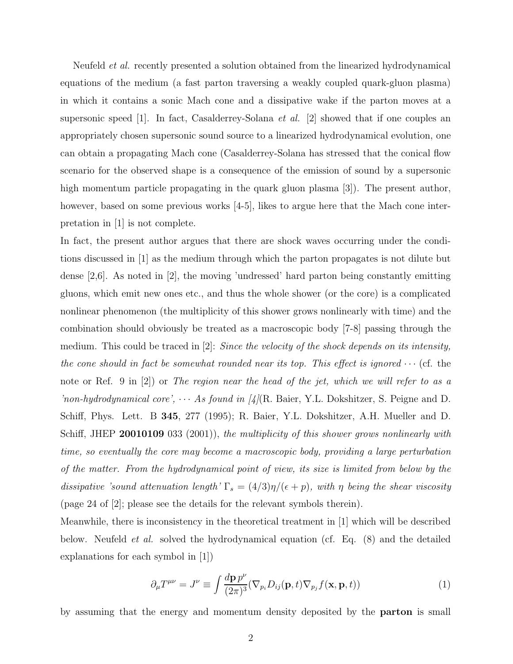Neufeld *et al.* recently presented a solution obtained from the linearized hydrodynamical equations of the medium (a fast parton traversing a weakly coupled quark-gluon plasma) in which it contains a sonic Mach cone and a dissipative wake if the parton moves at a supersonic speed [1]. In fact, Casalderrey-Solana *et al.* [2] showed that if one couples an appropriately chosen supersonic sound source to a linearized hydrodynamical evolution, one can obtain a propagating Mach cone (Casalderrey-Solana has stressed that the conical flow scenario for the observed shape is a consequence of the emission of sound by a supersonic high momentum particle propagating in the quark gluon plasma [3]). The present author, however, based on some previous works [4-5], likes to argue here that the Mach cone interpretation in [1] is not complete.

In fact, the present author argues that there are shock waves occurring under the conditions discussed in [1] as the medium through which the parton propagates is not dilute but dense [2,6]. As noted in [2], the moving 'undressed' hard parton being constantly emitting gluons, which emit new ones etc., and thus the whole shower (or the core) is a complicated nonlinear phenomenon (the multiplicity of this shower grows nonlinearly with time) and the combination should obviously be treated as a macroscopic body [7-8] passing through the medium. This could be traced in  $[2]$ : Since the velocity of the shock depends on its intensity, the cone should in fact be somewhat rounded near its top. This effect is ignored  $\cdots$  (cf. the note or Ref. 9 in [2]) or The region near the head of the jet, which we will refer to as a 'non-hydrodynamical core',  $\cdots$  As found in [4](R. Baier, Y.L. Dokshitzer, S. Peigne and D. Schiff, Phys. Lett. B 345, 277 (1995); R. Baier, Y.L. Dokshitzer, A.H. Mueller and D. Schiff, JHEP 20010109 033 (2001)), the multiplicity of this shower grows nonlinearly with time, so eventually the core may become a macroscopic body, providing a large perturbation of the matter. From the hydrodynamical point of view, its size is limited from below by the dissipative 'sound attenuation length'  $\Gamma_s = (4/3)\eta/(\epsilon + p)$ , with  $\eta$  being the shear viscosity (page 24 of [2]; please see the details for the relevant symbols therein).

Meanwhile, there is inconsistency in the theoretical treatment in [1] which will be described below. Neufeld et al. solved the hydrodynamical equation (cf. Eq. (8) and the detailed explanations for each symbol in [1])

$$
\partial_{\mu}T^{\mu\nu} = J^{\nu} \equiv \int \frac{d\mathbf{p} p^{\nu}}{(2\pi)^{3}} (\nabla_{p_{i}} D_{ij}(\mathbf{p}, t) \nabla_{p_{j}} f(\mathbf{x}, \mathbf{p}, t)) \tag{1}
$$

by assuming that the energy and momentum density deposited by the parton is small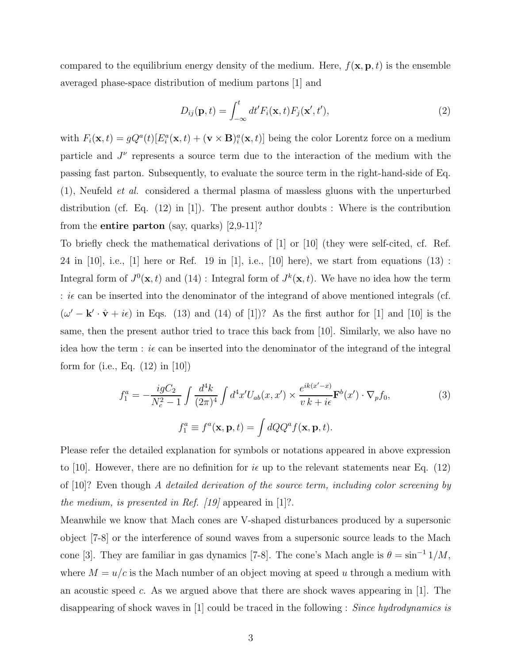compared to the equilibrium energy density of the medium. Here,  $f(\mathbf{x}, \mathbf{p}, t)$  is the ensemble averaged phase-space distribution of medium partons [1] and

$$
D_{ij}(\mathbf{p},t) = \int_{-\infty}^{t} dt' F_i(\mathbf{x},t) F_j(\mathbf{x}',t'),
$$
\n(2)

with  $F_i(\mathbf{x}, t) = gQ^a(t)[E_i^a(\mathbf{x}, t) + (\mathbf{v} \times \mathbf{B})_i^a(\mathbf{x}, t)]$  being the color Lorentz force on a medium particle and  $J^{\nu}$  represents a source term due to the interaction of the medium with the passing fast parton. Subsequently, to evaluate the source term in the right-hand-side of Eq. (1), Neufeld et al. considered a thermal plasma of massless gluons with the unperturbed distribution (cf. Eq.  $(12)$  in [1]). The present author doubts : Where is the contribution from the **entire parton** (say, quarks)  $[2,9-11]$ ?

To briefly check the mathematical derivations of [1] or [10] (they were self-cited, cf. Ref. 24 in [10], i.e., [1] here or Ref. 19 in [1], i.e., [10] here), we start from equations  $(13)$ : Integral form of  $J^0(\mathbf{x},t)$  and  $(14)$ : Integral form of  $J^k(\mathbf{x},t)$ . We have no idea how the term :  $i\epsilon$  can be inserted into the denominator of the integrand of above mentioned integrals (cf.  $(\omega' - \mathbf{k}' \cdot \hat{\mathbf{v}} + i\epsilon)$  in Eqs. (13) and (14) of [1])? As the first author for [1] and [10] is the same, then the present author tried to trace this back from [10]. Similarly, we also have no idea how the term :  $i\epsilon$  can be inserted into the denominator of the integrand of the integral form for (i.e., Eq. (12) in [10])

$$
f_1^a = -\frac{igC_2}{N_c^2 - 1} \int \frac{d^4k}{(2\pi)^4} \int d^4x' U_{ab}(x, x') \times \frac{e^{ik(x'-x)}}{v k + i\epsilon} \mathbf{F}^b(x') \cdot \nabla_p f_0,
$$
\n(3)\n
$$
f_1^a \equiv f^a(\mathbf{x}, \mathbf{p}, t) = \int dQ Q^a f(\mathbf{x}, \mathbf{p}, t).
$$

Please refer the detailed explanation for symbols or notations appeared in above expression to [10]. However, there are no definition for  $i\epsilon$  up to the relevant statements near Eq. (12) of [10]? Even though A detailed derivation of the source term, including color screening by the medium, is presented in Ref.  $\left[19\right]$  appeared in  $\left[1\right]$ ?.

Meanwhile we know that Mach cones are V-shaped disturbances produced by a supersonic object [7-8] or the interference of sound waves from a supersonic source leads to the Mach cone [3]. They are familiar in gas dynamics [7-8]. The cone's Mach angle is  $\theta = \sin^{-1} 1/M$ , where  $M = u/c$  is the Mach number of an object moving at speed u through a medium with an acoustic speed c. As we argued above that there are shock waves appearing in [1]. The disappearing of shock waves in [1] could be traced in the following : Since hydrodynamics is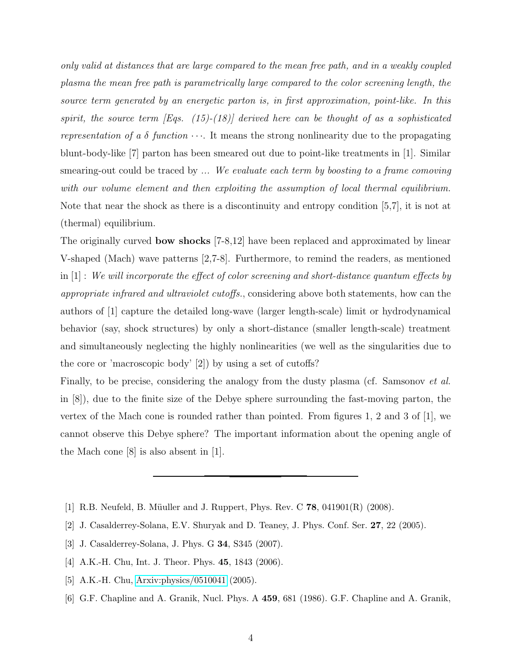only valid at distances that are large compared to the mean free path, and in a weakly coupled plasma the mean free path is parametrically large compared to the color screening length, the source term generated by an energetic parton is, in first approximation, point-like. In this spirit, the source term  $|Eqs. (15)-(18)|$  derived here can be thought of as a sophisticated representation of a  $\delta$  function  $\cdots$ . It means the strong nonlinearity due to the propagating blunt-body-like [7] parton has been smeared out due to point-like treatments in [1]. Similar smearing-out could be traced by ... We evaluate each term by boosting to a frame comoving with our volume element and then exploiting the assumption of local thermal equilibrium. Note that near the shock as there is a discontinuity and entropy condition [5,7], it is not at (thermal) equilibrium.

The originally curved bow shocks [7-8,12] have been replaced and approximated by linear V-shaped (Mach) wave patterns [2,7-8]. Furthermore, to remind the readers, as mentioned in [1] : We will incorporate the effect of color screening and short-distance quantum effects by appropriate infrared and ultraviolet cutoffs., considering above both statements, how can the authors of [1] capture the detailed long-wave (larger length-scale) limit or hydrodynamical behavior (say, shock structures) by only a short-distance (smaller length-scale) treatment and simultaneously neglecting the highly nonlinearities (we well as the singularities due to the core or 'macroscopic body' [2]) by using a set of cutoffs?

Finally, to be precise, considering the analogy from the dusty plasma (cf. Samsonov *et al.*) in [8]), due to the finite size of the Debye sphere surrounding the fast-moving parton, the vertex of the Mach cone is rounded rather than pointed. From figures 1, 2 and 3 of  $[1]$ , we cannot observe this Debye sphere? The important information about the opening angle of the Mach cone [8] is also absent in [1].

- [1] R.B. Neufeld, B. Müuller and J. Ruppert, Phys. Rev. C  $78$ , 041901(R) (2008).
- [2] J. Casalderrey-Solana, E.V. Shuryak and D. Teaney, J. Phys. Conf. Ser. 27, 22 (2005).
- [3] J. Casalderrey-Solana, J. Phys. G 34, S345 (2007).
- [4] A.K.-H. Chu, Int. J. Theor. Phys. **45**, 1843 (2006).
- [5] A.K.-H. Chu, [Arxiv:physics/0510041](http://arxiv.org/abs/physics/0510041) (2005).
- [6] G.F. Chapline and A. Granik, Nucl. Phys. A 459, 681 (1986). G.F. Chapline and A. Granik,